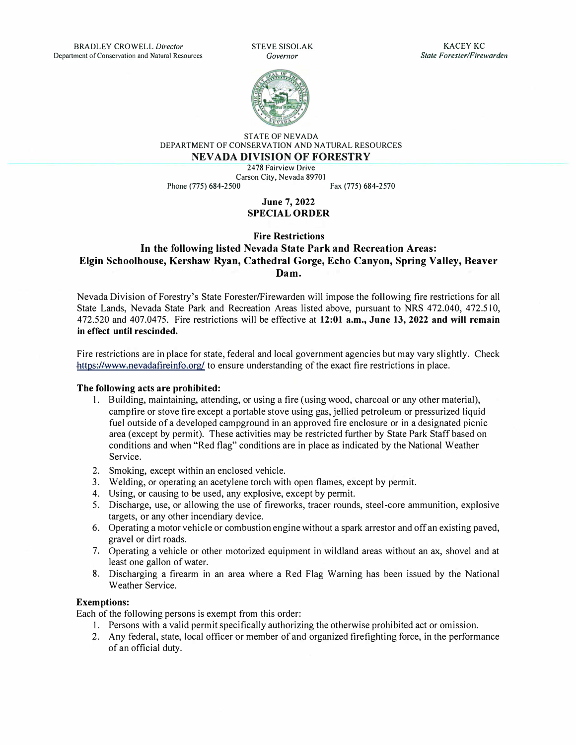

STATE OF NEVADA DEPARTMENT OF CONSERVATION AND NATURAL RESOURCES **NEV ADA DIVISION OF FORESTRY** 

2478 Fairview Drive

Phone (775) 684-2500

Carson City, Nevada 89701<br>
Fax (775) 684-2570

**June 7, 2022 SPECIAL ORDER** 

## **Fire Restrictions In the following listed Nevada State Park and Recreation Areas: Elgin Schoolhouse, Kershaw Ryan, Cathedral Gorge, Echo Canyon, Spring Valley, Beaver Dam.**

Nevada Division of Forestry's State Forester/Firewarden will impose the following fire restrictions for all State Lands, Nevada State Park and Recreation Areas listed above, pursuant to NRS 472.040, 472.510, 472.520 and 407.0475. Fire restrictions will be effective at **12:01 a.m., June 13, 2022 and will remain in effect until rescinded.** 

Fire restrictions are in place for state, federal and local government agencies but may vary slightly. Check https://www.nevadafireinfo.org/ to ensure understanding of the exact fire restrictions in place.

## **The following acts are prohibited:**

- I. Building, maintaining, attending, or using a fire ( using wood, charcoal or any other material), campfire or stove fire except a portable stove using gas, jellied petroleum or pressurized liquid fuel outside of a developed campground in an approved fire enclosure or in a designated picnic area ( except by permit). These activities may be restricted further by State Park Staff based on conditions and when "Red flag" conditions are in place as indicated by the National Weather Service.
- 2. Smoking, except within an enclosed vehicle.
- 3. Welding, or operating an acetylene torch with open flames, except by permit.
- 4. Using, or causing to be used, any explosive, except by permit.
- 5. Discharge, use, or allowing the use of fireworks, tracer rounds, steel-core ammunition, explosive targets, or any other incendiary device.
- 6. Operating a motor vehicle or combustion engine without a spark arrestor and off an existing paved, gravel or dirt roads.
- 7. Operating a vehicle or other motorized equipment in wildland areas without an ax, shovel and at least one gallon of water.
- 8. Discharging a firearm in an area where a Red Flag Warning has been issued by the National Weather Service.

## **Exemptions:**

Each of the following persons is exempt from this order:

- I. Persons with a valid permit specifically authorizing the otherwise prohibited act or omission.
- 2. Any federal, state, local officer or member of and organized firefighting force, in the performance of an official duty.